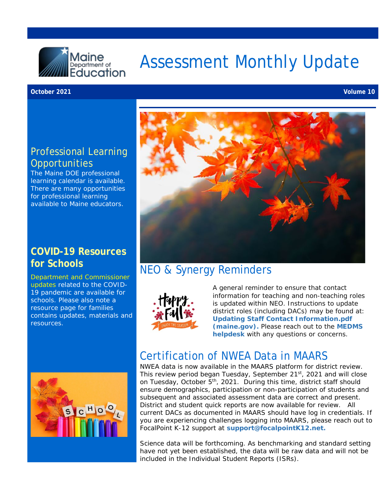

# Assessment Monthly Update

#### **October 2021 Volume 10**

#### Professional Learning **Opportunities**

The Maine DOE professional learning calendar is available. There are many opportunities for professional learning available to Maine educators.

#### **COVID-19 Resources for Schools**

[Department and Commissioner](https://www.maine.gov/doe/covid-19/toolkit)  [updates](https://www.maine.gov/doe/covid-19/toolkit) related to the COVID-19 pandemic are available for schools. Please also note a resource page for families contains updates, materials and resources.



#### NEO & Synergy Reminders



A general reminder to ensure that contact information for teaching and non-teaching roles is updated within NEO. Instructions to update district roles (including DACs) may be found at: **[Updating Staff Contact Information.pdf](https://www.maine.gov/doe/sites/maine.gov.doe/files/inline-files/Updating%20Staff%20Contact%20Information.pdf)  [\(maine.gov\).](https://www.maine.gov/doe/sites/maine.gov.doe/files/inline-files/Updating%20Staff%20Contact%20Information.pdf)** Please reach out to the **[MEDMS](mailto:MEDMS.Helpdesk@maine.gov)  [helpdesk](mailto:MEDMS.Helpdesk@maine.gov)** with any questions or concerns.



#### Certification of NWEA Data in MAARS

NWEA data is now available in the MAARS platform for district review. This review period began Tuesday, September 21<sup>st</sup>, 2021 and will close on Tuesday, October 5<sup>th</sup>, 2021. During this time, district staff should ensure demographics, participation or non-participation of students and subsequent and associated assessment data are correct and present. District and student quick reports are now available for review. All current DACs as documented in MAARS should have log in credentials. If you are experiencing challenges logging into MAARS, please reach out to FocalPoint K-12 support at **[support@focalpointK12.net.](mailto:support@focalpointK12.net)**

Science data will be forthcoming. As benchmarking and standard setting have not yet been established, the data will be raw data and will not be included in the Individual Student Reports (ISRs).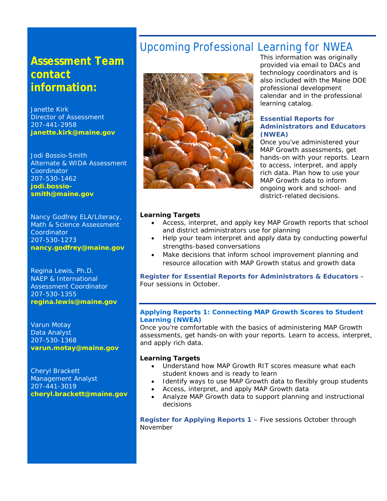#### **Assessment Team contact information:**

Janette Kirk Director of Assessment 207-441-2958 **[janette.kirk@maine.gov](mailto:janette.kirk@maine.gov)**

Jodi Bossio-Smith Alternate & WIDA Assessment Coordinator 207-530-1462 **[jodi.bossio](mailto:jodi.bossio-smith@maine.gov)[smith@maine.gov](mailto:jodi.bossio-smith@maine.gov)**

Nancy Godfrey ELA/Literacy, Math & Science Assessment **Coordinator** 207-530-1273 **[nancy.godfrey@maine.gov](mailto:nancy.godfrey@maine.gov)**

Regina Lewis, Ph.D. NAEP & International Assessment Coordinator 207-530-1355 **[regina.lewis@maine.gov](mailto:regina.lewis@maine.gov)**

Varun Motay Data Analyst 207-530-1368 **[varun.motay@maine.gov](mailto:varun.motay@maine.gov)**

Cheryl Brackett Management Analyst 207-441-3019 **[cheryl.brackett@maine.gov](mailto:cheryl.brackett@maine.gov)**

### Upcoming Professional Learning for NWEA



This information was originally provided via email to DACs and technology coordinators and is also included with the [Maine DOE](https://www.maine.gov/doe/calendar)  [professional development](https://www.maine.gov/doe/calendar)  [calendar](https://www.maine.gov/doe/calendar) and in the [professional](https://www.maine.gov/doe/sites/maine.gov.doe/files/inline-files/ME_PLCatalog_FY22_VF.pdf)  [learning catalog.](https://www.maine.gov/doe/sites/maine.gov.doe/files/inline-files/ME_PLCatalog_FY22_VF.pdf)

#### **Essential Reports for Administrators and Educators (NWEA)**

Once you've administered your MAP Growth assessments, get hands-on with your reports. Learn to access, interpret, and apply rich data. Plan how to use your MAP Growth data to inform ongoing work and school- and district-related decisions.

#### **Learning Targets**

- Access, interpret, and apply key MAP Growth reports that school and district administrators use for planning
- Help your team interpret and apply data by conducting powerful strengths-based conversations
- Make decisions that inform school improvement planning and resource allocation with MAP Growth status and growth data

**[Register for Essential Reports for Administrators & Educators](https://web.cvent.com/event/bf45a448-0dc0-4f16-8e15-46c1ca4bfa57/summary)** – Four sessions in October.

#### **Applying Reports 1: Connecting MAP Growth Scores to Student Learning (NWEA)**

Once you're comfortable with the basics of administering MAP Growth assessments, get hands-on with your reports. Learn to access, interpret, and apply rich data.

#### **Learning Targets**

- Understand how MAP Growth RIT scores measure what each student knows and is ready to learn
- Identify ways to use MAP Growth data to flexibly group students
- Access, interpret, and apply MAP Growth data
- Analyze MAP Growth data to support planning and instructional decisions

**[Register for Applying Reports 1](https://web.cvent.com/event/b747dbbc-cd95-4f2f-95ce-23c53e653bbe/summary)** – Five sessions October through November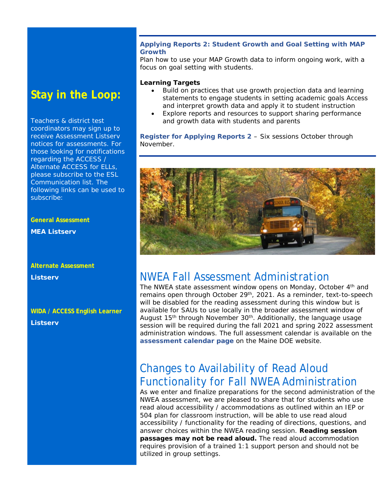#### **Stay in the Loop:**

Teachers & district test coordinators may sign up to receive Assessment Listserv notices for assessments. For those looking for notifications regarding the ACCESS / Alternate ACCESS for ELLs, please subscribe to the ESL Communication list. The following links can be used to subscribe:

**General Assessment** 

**MEA Listserv** 

**Alternate Assessment Listserv** 

#### **WIDA / ACCESS English Learner Listserv**

#### **Applying Reports 2: Student Growth and Goal Setting with MAP Growth**

Plan how to use your MAP Growth data to inform ongoing work, with a focus on goal setting with students.

#### **Learning Targets**

- Build on practices that use growth projection data and learning statements to engage students in setting academic goals Access and interpret growth data and apply it to student instruction
- Explore reports and resources to support sharing performance and growth data with students and parents

**[Register for Applying Reports 2](https://web.cvent.com/event/48902fbf-9d30-42e4-8559-adc4123755fb/summary)** – Six sessions October through November.



#### NWEA Fall Assessment Administration

The NWEA state assessment window opens on Monday, October 4th and remains open through October 29<sup>th</sup>, 2021. As a reminder, text-to-speech will be disabled for the reading assessment during this window but is available for SAUs to use locally in the broader assessment window of August  $15<sup>th</sup>$  through November  $30<sup>th</sup>$ . Additionally, the language usage session will be required during the fall 2021 and spring 2022 assessment administration windows. The full assessment calendar is available on the **[assessment calendar page](https://www.maine.gov/doe/Testing_Accountability/MECAS/calendar)** on the Maine DOE website.

### Changes to Availability of Read Aloud Functionality for Fall NWEA Administration

As we enter and finalize preparations for the second administration of the NWEA assessment, we are pleased to share that for students who use read aloud accessibility / accommodations as outlined within an IEP or 504 plan for classroom instruction, will be able to use read aloud accessibility / functionality for the reading of directions, questions, and answer choices within the NWEA reading session. **Reading session passages may not be read aloud.** The read aloud accommodation requires provision of a trained 1:1 support person and should not be utilized in group settings.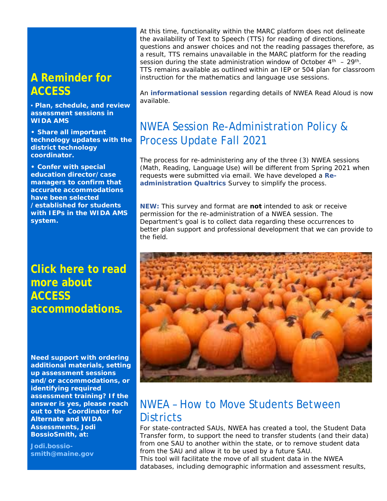### **A Reminder for ACCESS**

**▪ Plan, schedule, and review assessment sessions in WIDA AMS** 

**• Share all important technology updates with the district technology coordinator.** 

**• Confer with special education director/case managers to confirm that accurate accommodations have been selected /established for students with IEPs in the WIDA AMS system.** 

**[Click here to read](https://www.maine.gov/doe/Testing_Accountability/MECAS/materials/access)  [more about](https://www.maine.gov/doe/Testing_Accountability/MECAS/materials/access)  [ACCESS](https://www.maine.gov/doe/Testing_Accountability/MECAS/materials/access)  [accommodations.](https://www.maine.gov/doe/Testing_Accountability/MECAS/materials/access)**

**Need support with ordering additional materials, setting up assessment sessions and/or accommodations, or identifying required assessment training? If the answer is yes, please reach out to the Coordinator for Alternate and WIDA Assessments, Jodi BossioSmith, at:**

**[Jodi.bossio](mailto:Jodi.bossio-smith@maine.gov)[smith@maine.gov](mailto:Jodi.bossio-smith@maine.gov)**

At this time, functionality within the MARC platform does not delineate the availability of Text to Speech (TTS) for reading of directions, questions and answer choices and not the reading passages therefore, as a result, TTS remains unavailable in the MARC platform for the reading session during the state administration window of October  $4<sup>th</sup> - 29<sup>th</sup>$ . TTS remains available as outlined within an IEP or 504 plan for classroom instruction for the mathematics and language use sessions.

An **[informational session](https://www.youtube.com/watch?v=bBLZvj5YoHw&feature=youtu.be)** regarding details of NWEA Read Aloud is now available.

### NWEA Session Re-Administration Policy & Process Update Fall 2021

The process for re-administering any of the three (3) NWEA sessions (Math, Reading, Language Use) will be different from Spring 2021 when requests were submitted via email. We have developed a **[Re](https://mainedoe.co1.qualtrics.com/jfe/form/SV_9sfMjnNc5WbIsui)[administration Qualtrics](https://mainedoe.co1.qualtrics.com/jfe/form/SV_9sfMjnNc5WbIsui)** Survey to simplify the process.

**NEW:** This survey and format are **not** intended to ask or receive permission for the re-administration of a NWEA session. The Department's goal is to collect data regarding these occurrences to better plan support and professional development that we can provide to the field.



#### NWEA – [How to Move Students Between](https://connection.nwea.org/s/article/How-to-move-students-between-districts?language=en_US)  **[Districts](https://connection.nwea.org/s/article/How-to-move-students-between-districts?language=en_US)**

For state-contracted SAUs, NWEA has created a tool, the Student Data Transfer form, to support the need to transfer students (and their data) from one SAU to another within the state, or to remove student data from the SAU and allow it to be used by a future SAU.

This tool will facilitate the move of all student data in the NWEA databases, including demographic information and assessment results,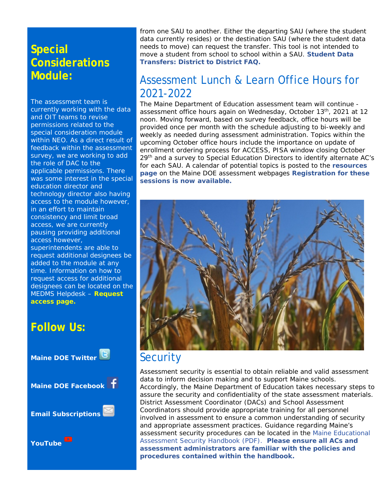### **Special Considerations Module:**

The assessment team is currently working with the data and OIT teams to revise permissions related to the special consideration module within NEO. As a direct result of feedback within the assessment survey, we are working to add the role of DAC to the applicable permissions. There was some interest in the special education director and technology director also having access to the module however, in an effort to maintain consistency and limit broad access, we are currently pausing providing additional access however, superintendents are able to request additional designees be added to the module at any time. Information on how to request access for additional designees can be located on the MEDMS Helpdesk – **Request access page.**

#### **Follow Us:**



from one SAU to another. Either the departing SAU (where the student data currently resides) or the destination SAU (where the student data needs to move) can request the transfer. This tool is not intended to move a student from school to school within a SAU. **[Student Data](https://connection.nwea.org/s/article/Student-Data-Transfers-District-to-District-FAQ?language=en_US)  [Transfers: District to District FAQ.](https://connection.nwea.org/s/article/Student-Data-Transfers-District-to-District-FAQ?language=en_US)**

#### Assessment Lunch & Learn Office Hours for 2021-2022

The Maine Department of Education assessment team will continue assessment office hours again on Wednesday, October 13<sup>th</sup>, 2021 at 12 noon. Moving forward, based on survey feedback, office hours will be provided once per month with the schedule adjusting to bi-weekly and weekly as needed during assessment administration. Topics within the upcoming October office hours include the importance on update of enrollment ordering process for ACCESS, PISA window closing October 29<sup>th</sup> and a survey to Special Education Directors to identify alternate AC's for each SAU. A calendar of potential topics is posted to the **[resources](https://www.maine.gov/doe/Testing_Accountability/MECAS/supports)  [page](https://www.maine.gov/doe/Testing_Accountability/MECAS/supports)** on the Maine DOE assessment webpages **[Registration for these](https://networkmaine.zoom.us/meeting/register/tZIucuirrz0tGtT4YUZDjXPbAEDZ-IaOCvlU)  [sessions is now available.](https://networkmaine.zoom.us/meeting/register/tZIucuirrz0tGtT4YUZDjXPbAEDZ-IaOCvlU)** 



### **Security**

Assessment security is essential to obtain reliable and valid assessment data to inform decision making and to support Maine schools. Accordingly, the Maine Department of Education takes necessary steps to assure the security and confidentiality of the state assessment materials. District Assessment Coordinator (DACs) and School Assessment Coordinators should provide appropriate training for all personnel involved in assessment to ensure a common understanding of security and appropriate assessment practices. Guidance regarding Maine's assessment security procedures can be located in the [Maine Educational](https://www.maine.gov/doe/sites/maine.gov.doe/files/inline-files/Maine%20Educational%20Assessment%20Security%20Handbook%202021-2022%20VF.pdf)  [Assessment Security Handbook \(PDF\).](https://www.maine.gov/doe/sites/maine.gov.doe/files/inline-files/Maine%20Educational%20Assessment%20Security%20Handbook%202021-2022%20VF.pdf) **Please ensure all ACs and assessment administrators are familiar with the policies and procedures contained within the handbook.**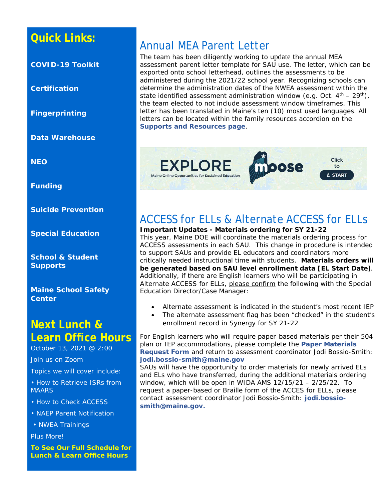### **Quick Links:**

**[COVID-19 Toolkit](https://www.maine.gov/doe/covid-19/toolkit)**

**[Certification](http://maine.gov/doe/cert)**

**[Fingerprinting](http://maine.gov/doe/cert)**

**[Data Warehouse](https://www.maine.gov/doe/data-reporting/reporting/warehouse)**

**[NEO](https://neo.maine.gov/DOE/NEO/Dashboard)**

**Funding**

**[Suicide Prevention](https://www.maine.gov/doe/suicideprevention)**

**[Special Education](https://www.maine.gov/doe/learning/specialed)**

**[School & Student](https://www.maine.gov/doe/schools/safeschools)  [Supports](https://www.maine.gov/doe/schools/safeschools)**

**[Maine School Safety](https://www.maine.gov/doe/safety)  [Center](https://www.maine.gov/doe/safety)**

#### **Next Lunch & Learn Office Hours**

October 13, 2021 @ 2:00

Join us on Zoom

Topics we will cover include:

• How to Retrieve ISRs from **MAARS** 

• How to Check ACCESS

- NAEP Parent Notification
- NWEA Trainings

Plus More!

**[To See Our Full Schedule for](https://www.maine.gov/doe/node/456)  [Lunch & Learn Office Hours](https://www.maine.gov/doe/node/456)**

### Annual MEA Parent Letter

The team has been diligently working to update the annual MEA assessment parent letter template for SAU use. The letter, which can be exported onto school letterhead, outlines the assessments to be administered during the 2021/22 school year. Recognizing schools can determine the administration dates of the NWEA assessment within the state identified assessment administration window (e.g. Oct.  $4<sup>th</sup> - 29<sup>th</sup>$ ), the team elected to not include assessment window timeframes. This letter has been translated in Maine's ten (10) most used languages. All letters can be located within the family resources accordion on the **[Supports and Resources page](https://www.maine.gov/doe/Testing_Accountability/MECAS/supports)**.



## ACCESS for ELLs & Alternate ACCESS for ELLs

**Important Updates - Materials ordering for SY 21-22** This year, Maine DOE will coordinate the materials ordering process for ACCESS assessments in each SAU. This change in procedure is intended to support SAUs and provide EL educators and coordinators more critically needed instructional time with students. **Materials orders will be generated based on SAU level enrollment data [EL Start Date**]. Additionally, if there are English learners who will be participating in Alternate ACCESS for ELLs, please confirm the following with the Special Education Director/Case Manager:

- Alternate assessment is indicated in the student's most recent IEP
- The alternate assessment flag has been "checked" in the student's enrollment record in Synergy for SY 21-22

For English learners who will require paper-based materials per their 504 plan or IEP accommodations, please complete the **[Paper Materials](https://www.maine.gov/doe/sites/maine.gov.doe/files/inline-files/Paper_Version_Request_21-22.docx)  [Request Form](https://www.maine.gov/doe/sites/maine.gov.doe/files/inline-files/Paper_Version_Request_21-22.docx)** and return to assessment coordinator Jodi Bossio-Smith: **[jodi.bossio-smith@maine.gov](mailto:jodi.bossio-smith@maine.gov)**

SAUs will have the opportunity to order materials for newly arrived ELs and ELs who have transferred, during the additional materials ordering window, which will be open in WIDA AMS 12/15/21 – 2/25/22. To request a paper-based or Braille form of the ACCES for ELLs, please contact assessment coordinator Jodi Bossio-Smith: **[jodi.bossio](mailto:jodi.bossio-smith@maine.gov)[smith@maine.gov.](mailto:jodi.bossio-smith@maine.gov)**